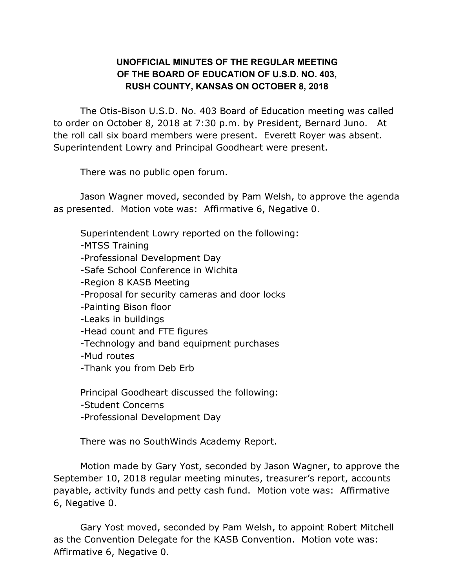## **UNOFFICIAL MINUTES OF THE REGULAR MEETING OF THE BOARD OF EDUCATION OF U.S.D. NO. 403, RUSH COUNTY, KANSAS ON OCTOBER 8, 2018**

The Otis-Bison U.S.D. No. 403 Board of Education meeting was called to order on October 8, 2018 at 7:30 p.m. by President, Bernard Juno. At the roll call six board members were present. Everett Royer was absent. Superintendent Lowry and Principal Goodheart were present.

There was no public open forum.

Jason Wagner moved, seconded by Pam Welsh, to approve the agenda as presented. Motion vote was: Affirmative 6, Negative 0.

Superintendent Lowry reported on the following:

-MTSS Training

-Professional Development Day

-Safe School Conference in Wichita

-Region 8 KASB Meeting

-Proposal for security cameras and door locks

-Painting Bison floor

-Leaks in buildings

-Head count and FTE figures

-Technology and band equipment purchases

-Mud routes

-Thank you from Deb Erb

Principal Goodheart discussed the following:

-Student Concerns

-Professional Development Day

There was no SouthWinds Academy Report.

Motion made by Gary Yost, seconded by Jason Wagner, to approve the September 10, 2018 regular meeting minutes, treasurer's report, accounts payable, activity funds and petty cash fund. Motion vote was: Affirmative 6, Negative 0.

Gary Yost moved, seconded by Pam Welsh, to appoint Robert Mitchell as the Convention Delegate for the KASB Convention. Motion vote was: Affirmative 6, Negative 0.